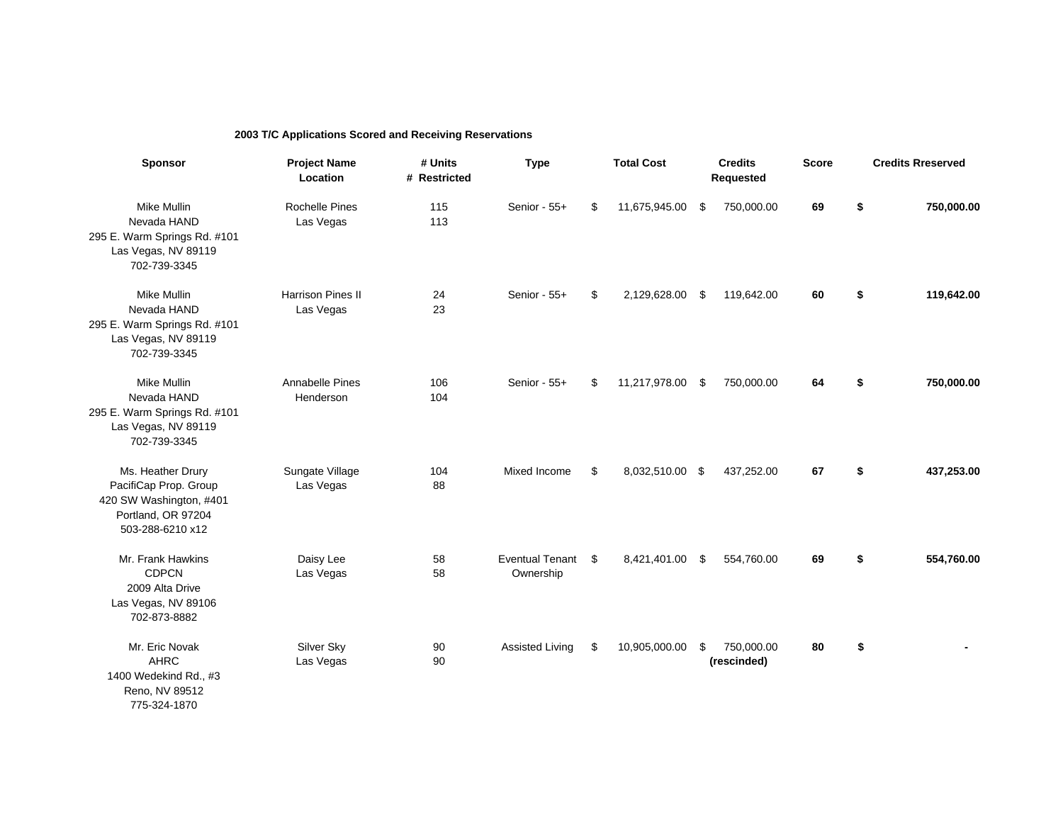## **2003 T/C Applications Scored and Receiving Reservations**

| <b>Sponsor</b>                                                                                                  | <b>Project Name</b><br>Location    | # Units<br># Restricted | <b>Type</b>                         | <b>Total Cost</b>     | <b>Credits</b><br>Requested     | <b>Score</b> |                  | <b>Credits Rreserved</b> |  |
|-----------------------------------------------------------------------------------------------------------------|------------------------------------|-------------------------|-------------------------------------|-----------------------|---------------------------------|--------------|------------------|--------------------------|--|
| <b>Mike Mullin</b><br>Nevada HAND<br>295 E. Warm Springs Rd. #101<br>Las Vegas, NV 89119<br>702-739-3345        | <b>Rochelle Pines</b><br>Las Vegas | 115<br>113              | Senior - 55+                        | \$<br>11,675,945.00   | \$<br>750,000.00                | 69           | \$<br>750,000.00 |                          |  |
| Mike Mullin<br>Nevada HAND<br>295 E. Warm Springs Rd. #101<br>Las Vegas, NV 89119<br>702-739-3345               | Harrison Pines II<br>Las Vegas     | 24<br>23                | Senior - 55+                        | \$<br>2,129,628.00    | \$<br>119,642.00                | 60           | \$               | 119,642.00               |  |
| Mike Mullin<br>Nevada HAND<br>295 E. Warm Springs Rd. #101<br>Las Vegas, NV 89119<br>702-739-3345               | Annabelle Pines<br>Henderson       | 106<br>104              | Senior - 55+                        | \$<br>11,217,978.00   | \$<br>750,000.00                | 64           | \$               | 750,000.00               |  |
| Ms. Heather Drury<br>PacifiCap Prop. Group<br>420 SW Washington, #401<br>Portland, OR 97204<br>503-288-6210 x12 | Sungate Village<br>Las Vegas       | 104<br>88               | Mixed Income                        | \$<br>8,032,510.00 \$ | 437,252.00                      | 67           | \$               | 437,253.00               |  |
| Mr. Frank Hawkins<br><b>CDPCN</b><br>2009 Alta Drive<br>Las Vegas, NV 89106<br>702-873-8882                     | Daisy Lee<br>Las Vegas             | 58<br>58                | <b>Eventual Tenant</b><br>Ownership | \$<br>8,421,401.00    | \$<br>554,760.00                | 69           | \$               | 554,760.00               |  |
| Mr. Eric Novak<br><b>AHRC</b><br>1400 Wedekind Rd., #3<br>Reno, NV 89512<br>775-324-1870                        | Silver Sky<br>Las Vegas            | 90<br>90                | <b>Assisted Living</b>              | \$<br>10,905,000.00   | \$<br>750,000.00<br>(rescinded) | 80           | \$               |                          |  |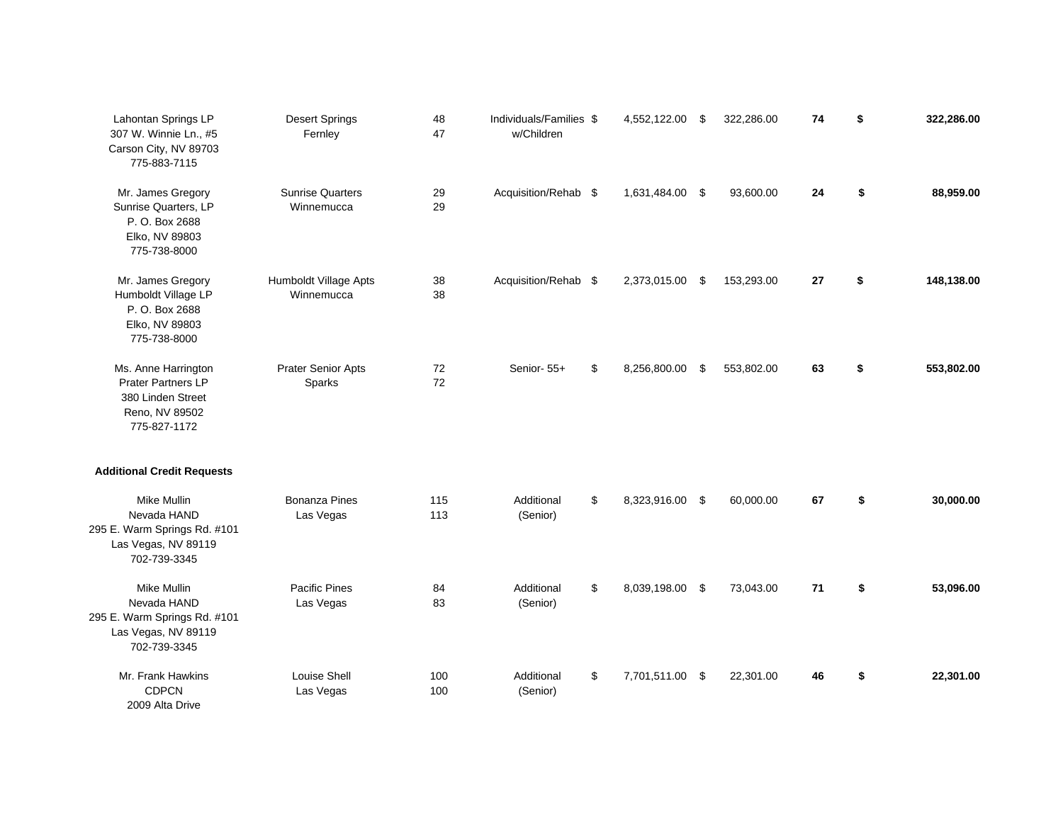| Lahontan Springs LP<br>307 W. Winnie Ln., #5<br>Carson City, NV 89703<br>775-883-7115                   | <b>Desert Springs</b><br>Fernley      | 48<br>47   | Individuals/Families \$<br>w/Children | 4,552,122.00 \$       |      | 322,286.00 | 74 | \$<br>322,286.00 |
|---------------------------------------------------------------------------------------------------------|---------------------------------------|------------|---------------------------------------|-----------------------|------|------------|----|------------------|
| Mr. James Gregory<br>Sunrise Quarters, LP<br>P. O. Box 2688<br>Elko, NV 89803<br>775-738-8000           | <b>Sunrise Quarters</b><br>Winnemucca | 29<br>29   | Acquisition/Rehab \$                  | 1,631,484.00 \$       |      | 93,600.00  | 24 | \$<br>88,959.00  |
| Mr. James Gregory<br>Humboldt Village LP<br>P. O. Box 2688<br>Elko, NV 89803<br>775-738-8000            | Humboldt Village Apts<br>Winnemucca   | 38<br>38   | Acquisition/Rehab \$                  | 2,373,015.00          | - \$ | 153,293.00 | 27 | \$<br>148,138.00 |
| Ms. Anne Harrington<br><b>Prater Partners LP</b><br>380 Linden Street<br>Reno, NV 89502<br>775-827-1172 | <b>Prater Senior Apts</b><br>Sparks   | 72<br>72   | Senior-55+                            | \$<br>8,256,800.00    | - \$ | 553,802.00 | 63 | \$<br>553,802.00 |
| <b>Additional Credit Requests</b>                                                                       |                                       |            |                                       |                       |      |            |    |                  |
| Mike Mullin<br>Nevada HAND<br>295 E. Warm Springs Rd. #101<br>Las Vegas, NV 89119<br>702-739-3345       | <b>Bonanza Pines</b><br>Las Vegas     | 115<br>113 | Additional<br>(Senior)                | \$<br>8,323,916.00 \$ |      | 60,000.00  | 67 | \$<br>30,000.00  |
| Mike Mullin<br>Nevada HAND<br>295 E. Warm Springs Rd. #101<br>Las Vegas, NV 89119<br>702-739-3345       | <b>Pacific Pines</b><br>Las Vegas     | 84<br>83   | Additional<br>(Senior)                | \$<br>8,039,198.00 \$ |      | 73,043.00  | 71 | \$<br>53,096.00  |
| Mr. Frank Hawkins<br><b>CDPCN</b><br>2009 Alta Drive                                                    | Louise Shell<br>Las Vegas             | 100<br>100 | Additional<br>(Senior)                | \$<br>7,701,511.00 \$ |      | 22,301.00  | 46 | \$<br>22,301.00  |